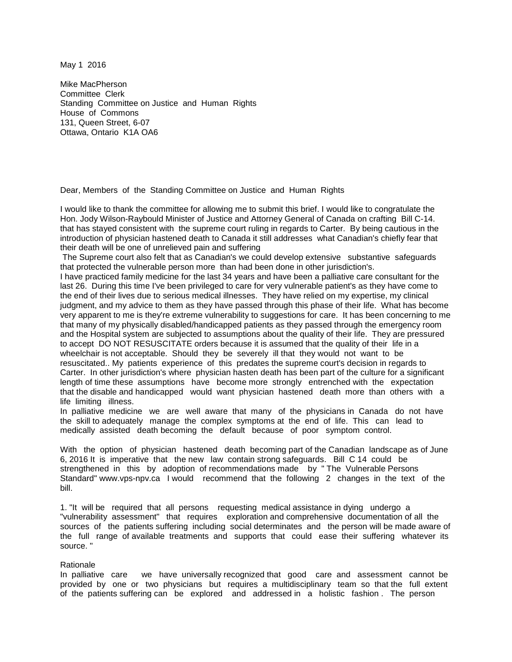May 1 2016

Mike MacPherson Committee Clerk Standing Committee on Justice and Human Rights House of Commons 131, Queen Street, 6-07 Ottawa, Ontario K1A OA6

Dear, Members of the Standing Committee on Justice and Human Rights

I would like to thank the committee for allowing me to submit this brief. I would like to congratulate the Hon. Jody Wilson-Raybould Minister of Justice and Attorney General of Canada on crafting Bill C-14. that has stayed consistent with the supreme court ruling in regards to Carter. By being cautious in the introduction of physician hastened death to Canada it still addresses what Canadian's chiefly fear that their death will be one of unrelieved pain and suffering

The Supreme court also felt that as Canadian's we could develop extensive substantive safeguards that protected the vulnerable person more than had been done in other jurisdiction's.

I have practiced family medicine for the last 34 years and have been a palliative care consultant for the last 26. During this time I've been privileged to care for very vulnerable patient's as they have come to the end of their lives due to serious medical illnesses. They have relied on my expertise, my clinical judgment, and my advice to them as they have passed through this phase of their life. What has become very apparent to me is they're extreme vulnerability to suggestions for care. It has been concerning to me that many of my physically disabled/handicapped patients as they passed through the emergency room and the Hospital system are subjected to assumptions about the quality of their life. They are pressured to accept DO NOT RESUSCITATE orders because it is assumed that the quality of their life in a wheelchair is not acceptable. Should they be severely ill that they would not want to be resuscitated.. My patients experience of this predates the supreme court's decision in regards to Carter. In other jurisdiction's where physician hasten death has been part of the culture for a significant length of time these assumptions have become more strongly entrenched with the expectation that the disable and handicapped would want physician hastened death more than others with a life limiting illness.

In palliative medicine we are well aware that many of the physicians in Canada do not have the skill to adequately manage the complex symptoms at the end of life. This can lead to medically assisted death becoming the default because of poor symptom control.

With the option of physician hastened death becoming part of the Canadian landscape as of June 6, 2016 It is imperative that the new law contain strong safeguards. Bill C 14 could be strengthened in this by adoption of recommendations made by " The Vulnerable Persons Standard" www.vps-npv.ca I would recommend that the following 2 changes in the text of the bill.

1. "It will be required that all persons requesting medical assistance in dying undergo a "vulnerability assessment" that requires exploration and comprehensive documentation of all the sources of the patients suffering including social determinates and the person will be made aware of the full range of available treatments and supports that could ease their suffering whatever its source. "

## Rationale

In palliative care we have universally recognized that good care and assessment cannot be provided by one or two physicians but requires a multidisciplinary team so that the full extent of the patients suffering can be explored and addressed in a holistic fashion . The person